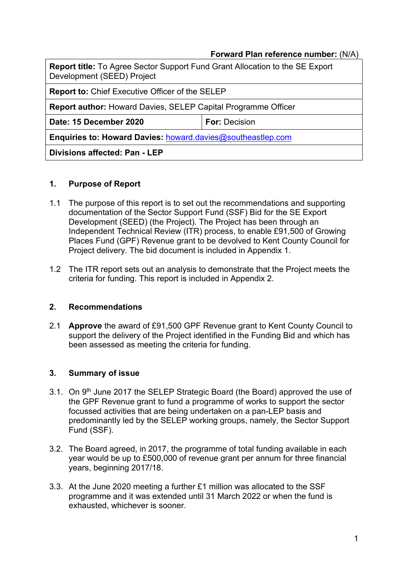#### Forward Plan reference number: (N/A)

| <b>Report title:</b> To Agree Sector Support Fund Grant Allocation to the SE Export<br>Development (SEED) Project |                      |  |
|-------------------------------------------------------------------------------------------------------------------|----------------------|--|
| <b>Report to: Chief Executive Officer of the SELEP</b>                                                            |                      |  |
| <b>Report author: Howard Davies, SELEP Capital Programme Officer</b>                                              |                      |  |
| Date: 15 December 2020                                                                                            | <b>For: Decision</b> |  |
| Enquiries to: Howard Davies: howard.davies@southeastlep.com                                                       |                      |  |
| Divisions affected: Pan - LEP                                                                                     |                      |  |

#### 1. Purpose of Report

- 1.1 The purpose of this report is to set out the recommendations and supporting documentation of the Sector Support Fund (SSF) Bid for the SE Export Development (SEED) (the Project). The Project has been through an Independent Technical Review (ITR) process, to enable £91,500 of Growing Places Fund (GPF) Revenue grant to be devolved to Kent County Council for Project delivery. The bid document is included in Appendix 1.
- 1.2 The ITR report sets out an analysis to demonstrate that the Project meets the criteria for funding. This report is included in Appendix 2.

#### 2. Recommendations

2.1 Approve the award of £91,500 GPF Revenue grant to Kent County Council to support the delivery of the Project identified in the Funding Bid and which has been assessed as meeting the criteria for funding.

#### 3. Summary of issue

- 3.1. On 9<sup>th</sup> June 2017 the SELEP Strategic Board (the Board) approved the use of the GPF Revenue grant to fund a programme of works to support the sector focussed activities that are being undertaken on a pan-LEP basis and predominantly led by the SELEP working groups, namely, the Sector Support Fund (SSF).
- 3.2. The Board agreed, in 2017, the programme of total funding available in each year would be up to £500,000 of revenue grant per annum for three financial years, beginning 2017/18.
- 3.3. At the June 2020 meeting a further £1 million was allocated to the SSF programme and it was extended until 31 March 2022 or when the fund is exhausted, whichever is sooner.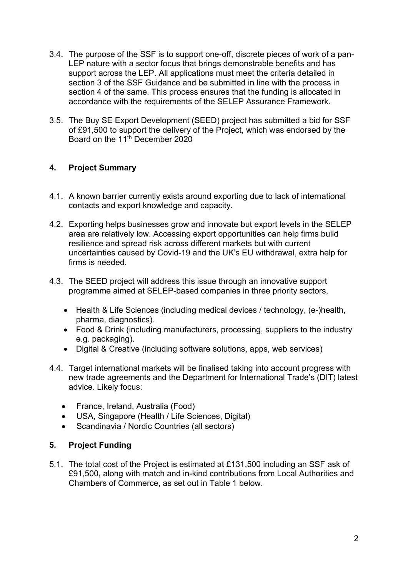- 3.4. The purpose of the SSF is to support one-off, discrete pieces of work of a pan-LEP nature with a sector focus that brings demonstrable benefits and has support across the LEP. All applications must meet the criteria detailed in section 3 of the SSF Guidance and be submitted in line with the process in section 4 of the same. This process ensures that the funding is allocated in accordance with the requirements of the SELEP Assurance Framework.
- 3.5. The Buy SE Export Development (SEED) project has submitted a bid for SSF of £91,500 to support the delivery of the Project, which was endorsed by the Board on the 11<sup>th</sup> December 2020

# 4. Project Summary

- 4.1. A known barrier currently exists around exporting due to lack of international contacts and export knowledge and capacity.
- 4.2. Exporting helps businesses grow and innovate but export levels in the SELEP area are relatively low. Accessing export opportunities can help firms build resilience and spread risk across different markets but with current uncertainties caused by Covid-19 and the UK's EU withdrawal, extra help for firms is needed.
- 4.3. The SEED project will address this issue through an innovative support programme aimed at SELEP-based companies in three priority sectors,
	- Health & Life Sciences (including medical devices / technology, (e-)health, pharma, diagnostics).
	- Food & Drink (including manufacturers, processing, suppliers to the industry e.g. packaging).
	- Digital & Creative (including software solutions, apps, web services)
- 4.4. Target international markets will be finalised taking into account progress with new trade agreements and the Department for International Trade's (DIT) latest advice. Likely focus:
	- France, Ireland, Australia (Food)
	- USA, Singapore (Health / Life Sciences, Digital)
	- Scandinavia / Nordic Countries (all sectors)

# 5. Project Funding

5.1. The total cost of the Project is estimated at £131,500 including an SSF ask of £91,500, along with match and in-kind contributions from Local Authorities and Chambers of Commerce, as set out in Table 1 below.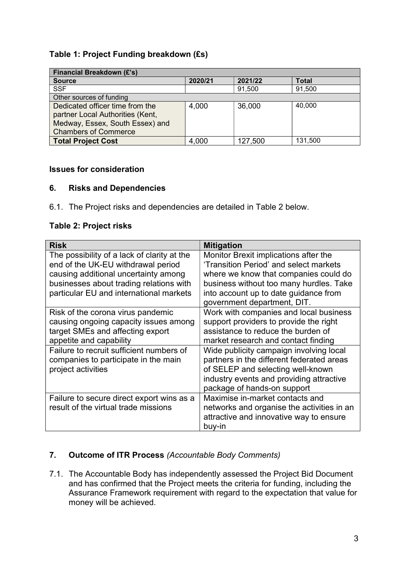# Table 1: Project Funding breakdown (£s)

| <b>Financial Breakdown (£'s)</b> |         |         |              |
|----------------------------------|---------|---------|--------------|
| <b>Source</b>                    | 2020/21 | 2021/22 | <b>Total</b> |
| <b>SSF</b>                       |         | 91,500  | 91,500       |
| Other sources of funding         |         |         |              |
| Dedicated officer time from the  | 4,000   | 36,000  | 40,000       |
| partner Local Authorities (Kent, |         |         |              |
| Medway, Essex, South Essex) and  |         |         |              |
| <b>Chambers of Commerce</b>      |         |         |              |
| Total Project Cost               | 4,000   | 127,500 | 131,500      |

#### Issues for consideration

#### 6. Risks and Dependencies

6.1. The Project risks and dependencies are detailed in Table 2 below.

# Table 2: Project risks

| <b>Risk</b>                                 | <b>Mitigation</b>                                                    |
|---------------------------------------------|----------------------------------------------------------------------|
| The possibility of a lack of clarity at the | Monitor Brexit implications after the                                |
| end of the UK-EU withdrawal period          | 'Transition Period' and select markets                               |
| causing additional uncertainty among        | where we know that companies could do                                |
| businesses about trading relations with     | business without too many hurdles. Take                              |
| particular EU and international markets     | into account up to date guidance from<br>government department, DIT. |
| Risk of the corona virus pandemic           | Work with companies and local business                               |
| causing ongoing capacity issues among       | support providers to provide the right                               |
| target SMEs and affecting export            | assistance to reduce the burden of                                   |
| appetite and capability                     | market research and contact finding                                  |
| Failure to recruit sufficient numbers of    | Wide publicity campaign involving local                              |
| companies to participate in the main        | partners in the different federated areas                            |
| project activities                          | of SELEP and selecting well-known                                    |
|                                             | industry events and providing attractive                             |
|                                             | package of hands-on support                                          |
| Failure to secure direct export wins as a   | Maximise in-market contacts and                                      |
| result of the virtual trade missions        | networks and organise the activities in an                           |
|                                             | attractive and innovative way to ensure                              |
|                                             | buy-in                                                               |

# 7. Outcome of ITR Process (Accountable Body Comments)

7.1. The Accountable Body has independently assessed the Project Bid Document and has confirmed that the Project meets the criteria for funding, including the Assurance Framework requirement with regard to the expectation that value for money will be achieved.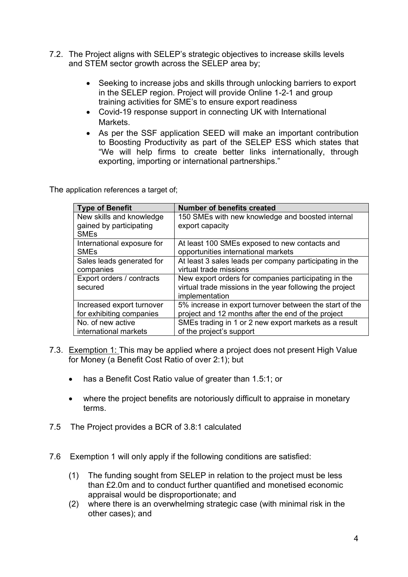- 7.2. The Project aligns with SELEP's strategic objectives to increase skills levels and STEM sector growth across the SELEP area by;
	- Seeking to increase jobs and skills through unlocking barriers to export in the SELEP region. Project will provide Online 1-2-1 and group training activities for SME's to ensure export readiness
	- Covid-19 response support in connecting UK with International Markets.
	- As per the SSF application SEED will make an important contribution to Boosting Productivity as part of the SELEP ESS which states that "We will help firms to create better links internationally, through exporting, importing or international partnerships."

The application references a target of;

| <b>Type of Benefit</b>     | <b>Number of benefits created</b>                        |
|----------------------------|----------------------------------------------------------|
| New skills and knowledge   | 150 SMEs with new knowledge and boosted internal         |
| gained by participating    | export capacity                                          |
| <b>SME<sub>s</sub></b>     |                                                          |
| International exposure for | At least 100 SMEs exposed to new contacts and            |
| <b>SMEs</b>                | opportunities international markets                      |
| Sales leads generated for  | At least 3 sales leads per company participating in the  |
| companies                  | virtual trade missions                                   |
| Export orders / contracts  | New export orders for companies participating in the     |
| secured                    | virtual trade missions in the year following the project |
|                            | implementation                                           |
| Increased export turnover  | 5% increase in export turnover between the start of the  |
| for exhibiting companies   | project and 12 months after the end of the project       |
| No. of new active          | SMEs trading in 1 or 2 new export markets as a result    |
| international markets      | of the project's support                                 |

- 7.3. Exemption 1: This may be applied where a project does not present High Value for Money (a Benefit Cost Ratio of over 2:1); but
	- has a Benefit Cost Ratio value of greater than 1.5:1; or
	- where the project benefits are notoriously difficult to appraise in monetary terms.
- 7.5 The Project provides a BCR of 3.8:1 calculated
- 7.6 Exemption 1 will only apply if the following conditions are satisfied:
	- (1) The funding sought from SELEP in relation to the project must be less than £2.0m and to conduct further quantified and monetised economic appraisal would be disproportionate; and
	- (2) where there is an overwhelming strategic case (with minimal risk in the other cases); and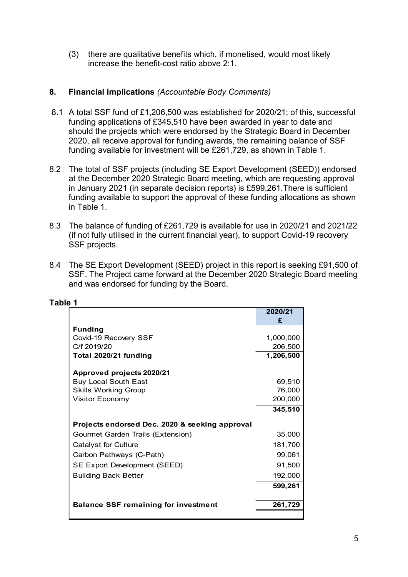(3) there are qualitative benefits which, if monetised, would most likely increase the benefit-cost ratio above 2:1.

### 8. Financial implications (Accountable Body Comments)

- 8.1 A total SSF fund of £1,206,500 was established for 2020/21; of this, successful funding applications of £345,510 have been awarded in year to date and should the projects which were endorsed by the Strategic Board in December 2020, all receive approval for funding awards, the remaining balance of SSF funding available for investment will be £261,729, as shown in Table 1.
- 8.2 The total of SSF projects (including SE Export Development (SEED)) endorsed at the December 2020 Strategic Board meeting, which are requesting approval in January 2021 (in separate decision reports) is £599,261.There is sufficient funding available to support the approval of these funding allocations as shown in Table 1.
- 8.3 The balance of funding of £261,729 is available for use in 2020/21 and 2021/22 (if not fully utilised in the current financial year), to support Covid-19 recovery SSF projects.
- 8.4 The SE Export Development (SEED) project in this report is seeking £91,500 of SSF. The Project came forward at the December 2020 Strategic Board meeting and was endorsed for funding by the Board.

| The total of SSF projects (including SE Export Development (SEED)) endorsed<br>at the December 2020 Strategic Board meeting, which are requesting approval<br>in January 2021 (in separate decision reports) is £599,261. There is sufficient<br>funding available to support the approval of these funding allocations as shown<br>in Table 1. |                  |   |
|-------------------------------------------------------------------------------------------------------------------------------------------------------------------------------------------------------------------------------------------------------------------------------------------------------------------------------------------------|------------------|---|
| The balance of funding of £261,729 is available for use in 2020/21 and 2021/22<br>(if not fully utilised in the current financial year), to support Covid-19 recovery<br>SSF projects.                                                                                                                                                          |                  |   |
| The SE Export Development (SEED) project in this report is seeking £91,500 of<br>SSF. The Project came forward at the December 2020 Strategic Board meeting<br>and was endorsed for funding by the Board.                                                                                                                                       |                  |   |
| e 1                                                                                                                                                                                                                                                                                                                                             |                  |   |
|                                                                                                                                                                                                                                                                                                                                                 | 2020/21          |   |
|                                                                                                                                                                                                                                                                                                                                                 | £                |   |
| <b>Funding</b><br>Covid-19 Recovery SSF                                                                                                                                                                                                                                                                                                         | 1,000,000        |   |
| C/f 2019/20                                                                                                                                                                                                                                                                                                                                     | 206,500          |   |
| Total 2020/21 funding                                                                                                                                                                                                                                                                                                                           | 1,206,500        |   |
|                                                                                                                                                                                                                                                                                                                                                 |                  |   |
| Approved projects 2020/21                                                                                                                                                                                                                                                                                                                       |                  |   |
| <b>Buy Local South East</b><br><b>Skills Working Group</b>                                                                                                                                                                                                                                                                                      | 69,510<br>76,000 |   |
| <b>Visitor Economy</b>                                                                                                                                                                                                                                                                                                                          | 200,000          |   |
|                                                                                                                                                                                                                                                                                                                                                 | 345,510          |   |
|                                                                                                                                                                                                                                                                                                                                                 |                  |   |
| Projects endorsed Dec. 2020 & seeking approval                                                                                                                                                                                                                                                                                                  |                  |   |
| Gourmet Garden Trails (Extension)                                                                                                                                                                                                                                                                                                               | 35,000           |   |
| <b>Catalyst for Culture</b>                                                                                                                                                                                                                                                                                                                     | 181,700          |   |
| Carbon Pathways (C-Path)                                                                                                                                                                                                                                                                                                                        | 99,061           |   |
| SE Export Development (SEED)                                                                                                                                                                                                                                                                                                                    | 91,500           |   |
| <b>Building Back Better</b>                                                                                                                                                                                                                                                                                                                     | 192,000          |   |
|                                                                                                                                                                                                                                                                                                                                                 | 599,261          |   |
| <b>Balance SSF remaining for investment</b>                                                                                                                                                                                                                                                                                                     | 261,729          |   |
|                                                                                                                                                                                                                                                                                                                                                 |                  |   |
|                                                                                                                                                                                                                                                                                                                                                 |                  |   |
|                                                                                                                                                                                                                                                                                                                                                 |                  | 5 |
|                                                                                                                                                                                                                                                                                                                                                 |                  |   |

#### Table 1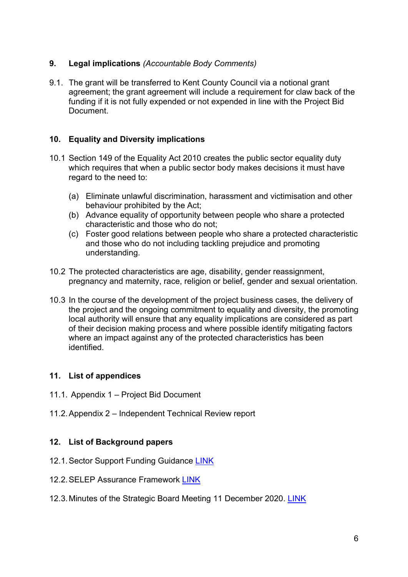# 9. Legal implications (Accountable Body Comments)

9.1. The grant will be transferred to Kent County Council via a notional grant agreement; the grant agreement will include a requirement for claw back of the funding if it is not fully expended or not expended in line with the Project Bid Document.

# 10. Equality and Diversity implications

- 10.1 Section 149 of the Equality Act 2010 creates the public sector equality duty which requires that when a public sector body makes decisions it must have regard to the need to:
	- (a) Eliminate unlawful discrimination, harassment and victimisation and other behaviour prohibited by the Act;
	- (b) Advance equality of opportunity between people who share a protected characteristic and those who do not;
	- (c) Foster good relations between people who share a protected characteristic and those who do not including tackling prejudice and promoting understanding.
- 10.2 The protected characteristics are age, disability, gender reassignment, pregnancy and maternity, race, religion or belief, gender and sexual orientation.
- 10.3 In the course of the development of the project business cases, the delivery of the project and the ongoing commitment to equality and diversity, the promoting local authority will ensure that any equality implications are considered as part of their decision making process and where possible identify mitigating factors where an impact against any of the protected characteristics has been identified.

# 11. List of appendices

- 11.1. Appendix 1 Project Bid Document
- 11.2. Appendix 2 Independent Technical Review report

# 12. List of Background papers

- 12.1. Sector Support Funding Guidance LINK
- 12.2. SELEP Assurance Framework LINK
- 12.3. Minutes of the Strategic Board Meeting 11 December 2020. LINK